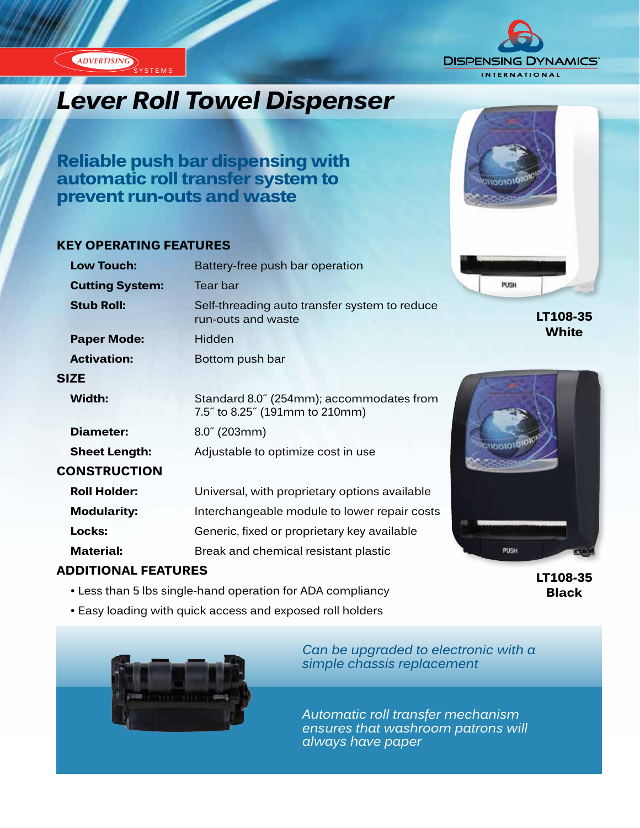ADVERTISING SYSTEMS



# *Lever Roll Towel Dispenser*

**Reliable push bar dispensing with automatic roll transfer system to prevent run-outs and waste**

#### **KEY OPERATING FEATURES**

| <b>Low Touch:</b>      | Battery-free push bar operation                                            |
|------------------------|----------------------------------------------------------------------------|
| <b>Cutting System:</b> | Tear bar                                                                   |
| <b>Stub Roll:</b>      | Self-threading auto transfer system to reduce<br>run-outs and waste        |
| <b>Paper Mode:</b>     | Hidden                                                                     |
| <b>Activation:</b>     | Bottom push bar                                                            |
| SIZE                   |                                                                            |
| Width:                 | Standard 8.0" (254mm); accommodates from<br>7.5" to 8.25" (191mm to 210mm) |
| Diameter:              | $8.0^{\circ}$ (203mm)                                                      |
| <b>Sheet Length:</b>   | Adjustable to optimize cost in use                                         |
| <b>CONSTRUCTION</b>    |                                                                            |
| <b>Roll Holder:</b>    | Universal, with proprietary options available                              |
| <b>Modularity:</b>     | Interchangeable module to lower repair costs                               |
| Locks:                 | Generic, fixed or proprietary key available                                |
| <b>Material:</b>       | Break and chemical resistant plastic                                       |

### **ADDITIONAL FEATURES**

- Less than 5 lbs single-hand operation for ADA compliancy
- Easy loading with quick access and exposed roll holders





**LT108-35 White**



**LT108-35 Black**



*Can be upgraded to electronic with a simple chassis replacement*

*Automatic roll transfer mechanism ensures that washroom patrons will always have paper*